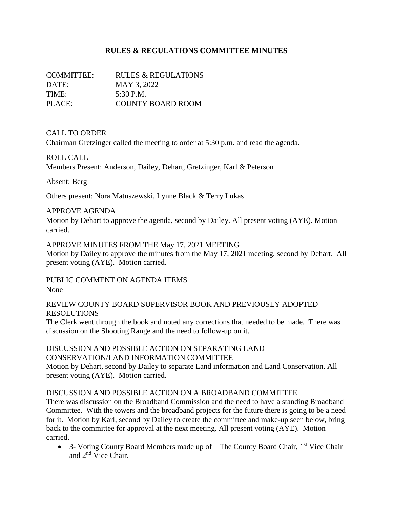## **RULES & REGULATIONS COMMITTEE MINUTES**

| COMMITTEE: | RULES & REGULATIONS |
|------------|---------------------|
| DATE:      | MAY 3, 2022         |
| TIME:      | 5:30 P.M.           |
| PLACE:     | COUNTY BOARD ROOM   |

### CALL TO ORDER

Chairman Gretzinger called the meeting to order at 5:30 p.m. and read the agenda.

### ROLL CALL

Members Present: Anderson, Dailey, Dehart, Gretzinger, Karl & Peterson

Absent: Berg

Others present: Nora Matuszewski, Lynne Black & Terry Lukas

### APPROVE AGENDA

Motion by Dehart to approve the agenda, second by Dailey. All present voting (AYE). Motion carried.

APPROVE MINUTES FROM THE May 17, 2021 MEETING

Motion by Dailey to approve the minutes from the May 17, 2021 meeting, second by Dehart. All present voting (AYE). Motion carried.

PUBLIC COMMENT ON AGENDA ITEMS None

#### REVIEW COUNTY BOARD SUPERVISOR BOOK AND PREVIOUSLY ADOPTED RESOLUTIONS

The Clerk went through the book and noted any corrections that needed to be made. There was discussion on the Shooting Range and the need to follow-up on it.

### DISCUSSION AND POSSIBLE ACTION ON SEPARATING LAND CONSERVATION/LAND INFORMATION COMMITTEE

Motion by Dehart, second by Dailey to separate Land information and Land Conservation. All present voting (AYE). Motion carried.

### DISCUSSION AND POSSIBLE ACTION ON A BROADBAND COMMITTEE

There was discussion on the Broadband Commission and the need to have a standing Broadband Committee. With the towers and the broadband projects for the future there is going to be a need for it. Motion by Karl, second by Dailey to create the committee and make-up seen below, bring back to the committee for approval at the next meeting. All present voting (AYE). Motion carried.

• 3- Voting County Board Members made up of  $-$  The County Board Chair,  $1<sup>st</sup>$  Vice Chair and 2nd Vice Chair.